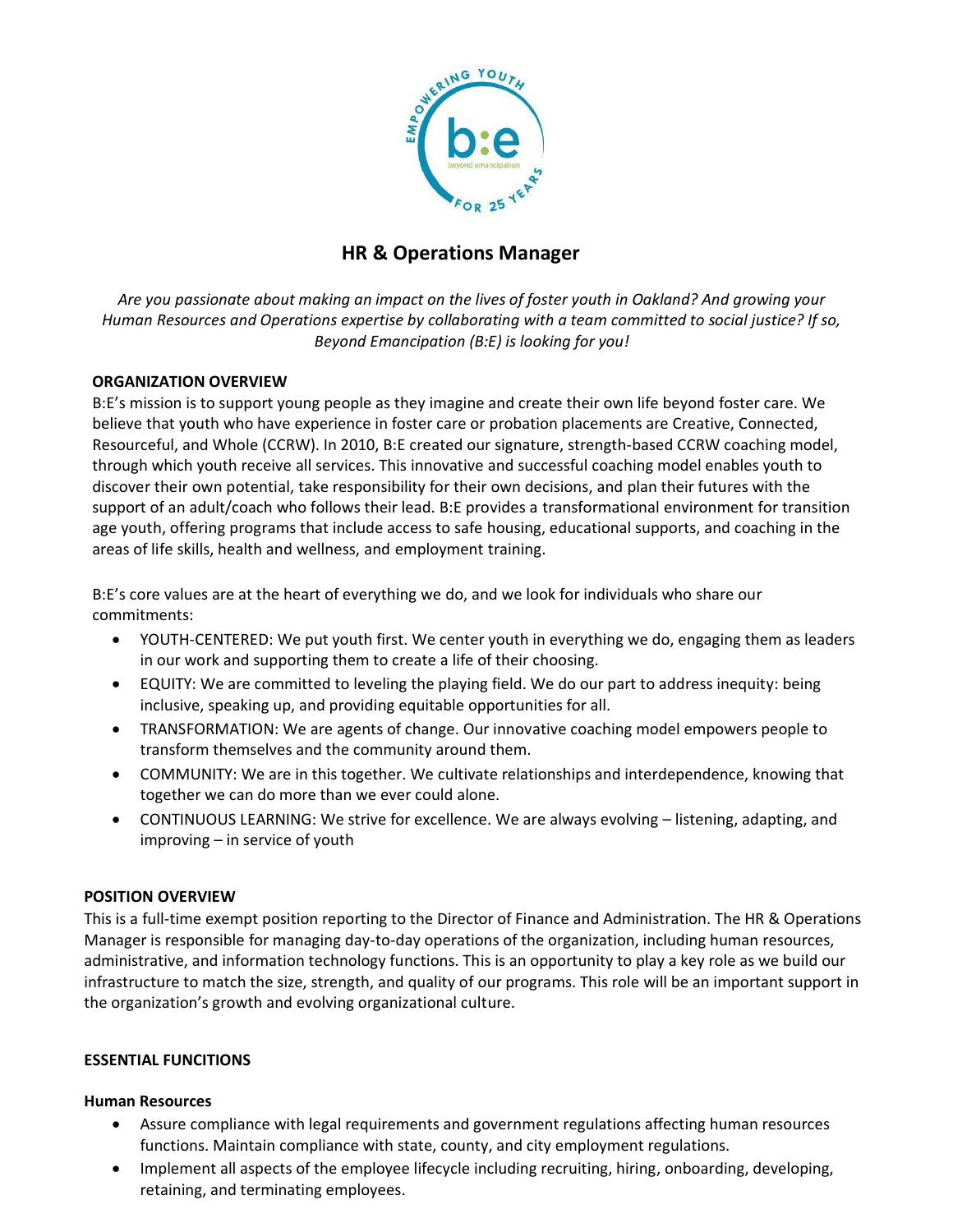

# **HR & Operations Manager**

*Are you passionate about making an impact on the lives of foster youth in Oakland? And growing your Human Resources and Operations expertise by collaborating with a team committed to social justice? If so, Beyond Emancipation (B:E) is looking for you!*

# **ORGANIZATION OVERVIEW**

B:E's mission is to support young people as they imagine and create their own life beyond foster care. We believe that youth who have experience in foster care or probation placements are Creative, Connected, Resourceful, and Whole (CCRW). In 2010, B:E created our signature, strength-based CCRW coaching model, through which youth receive all services. This innovative and successful coaching model enables youth to discover their own potential, take responsibility for their own decisions, and plan their futures with the support of an adult/coach who follows their lead. B:E provides a transformational environment for transition age youth, offering programs that include access to safe housing, educational supports, and coaching in the areas of life skills, health and wellness, and employment training.

B:E's core values are at the heart of everything we do, and we look for individuals who share our commitments:

- YOUTH-CENTERED: We put youth first. We center youth in everything we do, engaging them as leaders in our work and supporting them to create a life of their choosing.
- EQUITY: We are committed to leveling the playing field. We do our part to address inequity: being inclusive, speaking up, and providing equitable opportunities for all.
- TRANSFORMATION: We are agents of change. Our innovative coaching model empowers people to transform themselves and the community around them.
- COMMUNITY: We are in this together. We cultivate relationships and interdependence, knowing that together we can do more than we ever could alone.
- CONTINUOUS LEARNING: We strive for excellence. We are always evolving listening, adapting, and improving – in service of youth

# **POSITION OVERVIEW**

This is a full-time exempt position reporting to the Director of Finance and Administration. The HR & Operations Manager is responsible for managing day-to-day operations of the organization, including human resources, administrative, and information technology functions. This is an opportunity to play a key role as we build our infrastructure to match the size, strength, and quality of our programs. This role will be an important support in the organization's growth and evolving organizational culture.

#### **ESSENTIAL FUNCITIONS**

#### **Human Resources**

- Assure compliance with legal requirements and government regulations affecting human resources functions. Maintain compliance with state, county, and city employment regulations.
- Implement all aspects of the employee lifecycle including recruiting, hiring, onboarding, developing, retaining, and terminating employees.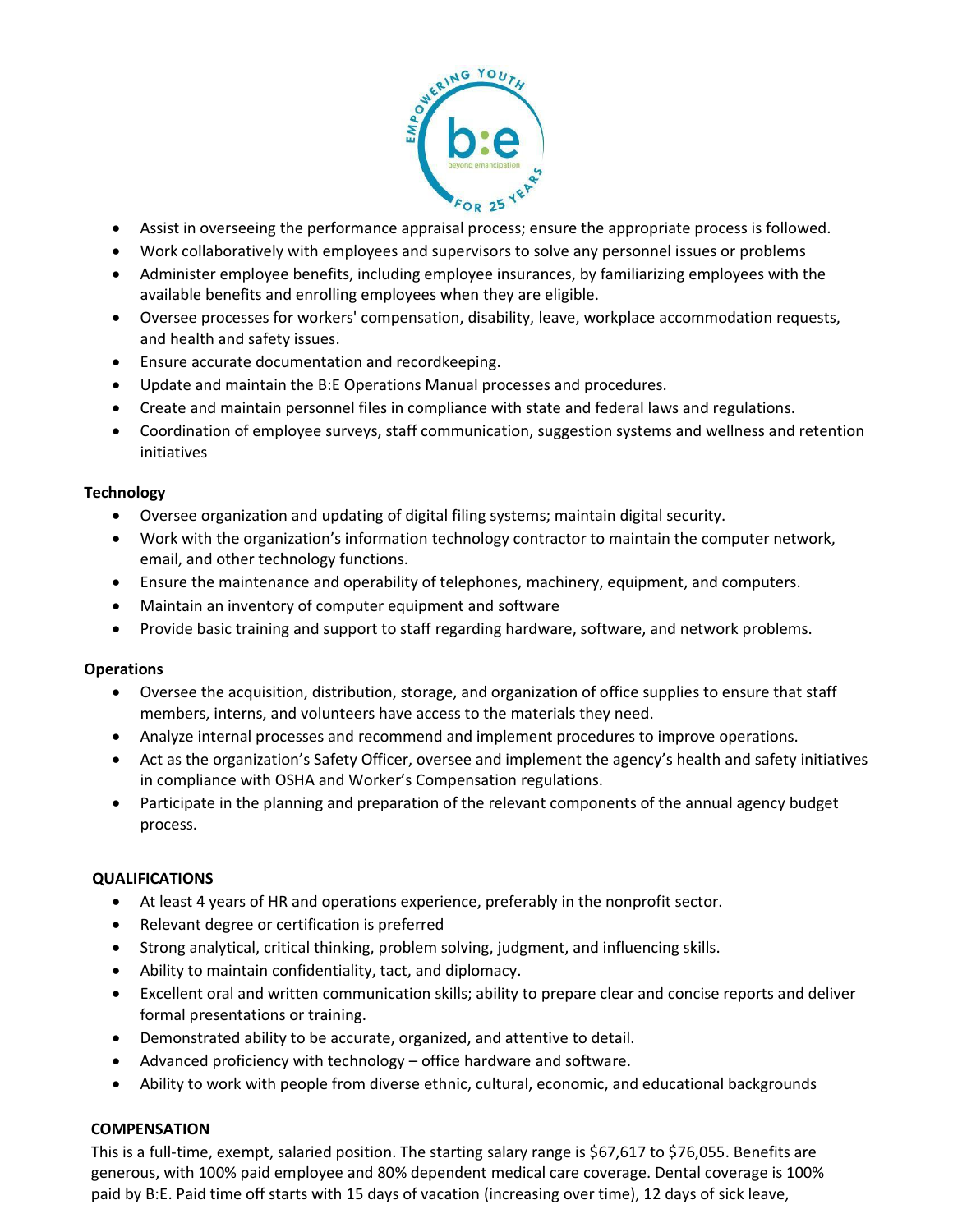

- Assist in overseeing the performance appraisal process; ensure the appropriate process is followed.
- Work collaboratively with employees and supervisors to solve any personnel issues or problems
- Administer employee benefits, including employee insurances, by familiarizing employees with the available benefits and enrolling employees when they are eligible.
- Oversee processes for workers' compensation, disability, leave, workplace accommodation requests, and health and safety issues.
- Ensure accurate documentation and recordkeeping.
- Update and maintain the B:E Operations Manual processes and procedures.
- Create and maintain personnel files in compliance with state and federal laws and regulations.
- Coordination of employee surveys, staff communication, suggestion systems and wellness and retention initiatives

#### **Technology**

- Oversee organization and updating of digital filing systems; maintain digital security.
- Work with the organization's information technology contractor to maintain the computer network, email, and other technology functions.
- Ensure the maintenance and operability of telephones, machinery, equipment, and computers.
- Maintain an inventory of computer equipment and software
- Provide basic training and support to staff regarding hardware, software, and network problems.

#### **Operations**

- Oversee the acquisition, distribution, storage, and organization of office supplies to ensure that staff members, interns, and volunteers have access to the materials they need.
- Analyze internal processes and recommend and implement procedures to improve operations.
- Act as the organization's Safety Officer, oversee and implement the agency's health and safety initiatives in compliance with OSHA and Worker's Compensation regulations.
- Participate in the planning and preparation of the relevant components of the annual agency budget process.

#### **QUALIFICATIONS**

- At least 4 years of HR and operations experience, preferably in the nonprofit sector.
- Relevant degree or certification is preferred
- Strong analytical, critical thinking, problem solving, judgment, and influencing skills.
- Ability to maintain confidentiality, tact, and diplomacy.
- Excellent oral and written communication skills; ability to prepare clear and concise reports and deliver formal presentations or training.
- Demonstrated ability to be accurate, organized, and attentive to detail.
- Advanced proficiency with technology office hardware and software.
- Ability to work with people from diverse ethnic, cultural, economic, and educational backgrounds

#### **COMPENSATION**

This is a full-time, exempt, salaried position. The starting salary range is \$67,617 to \$76,055. Benefits are generous, with 100% paid employee and 80% dependent medical care coverage. Dental coverage is 100% paid by B:E. Paid time off starts with 15 days of vacation (increasing over time), 12 days of sick leave,